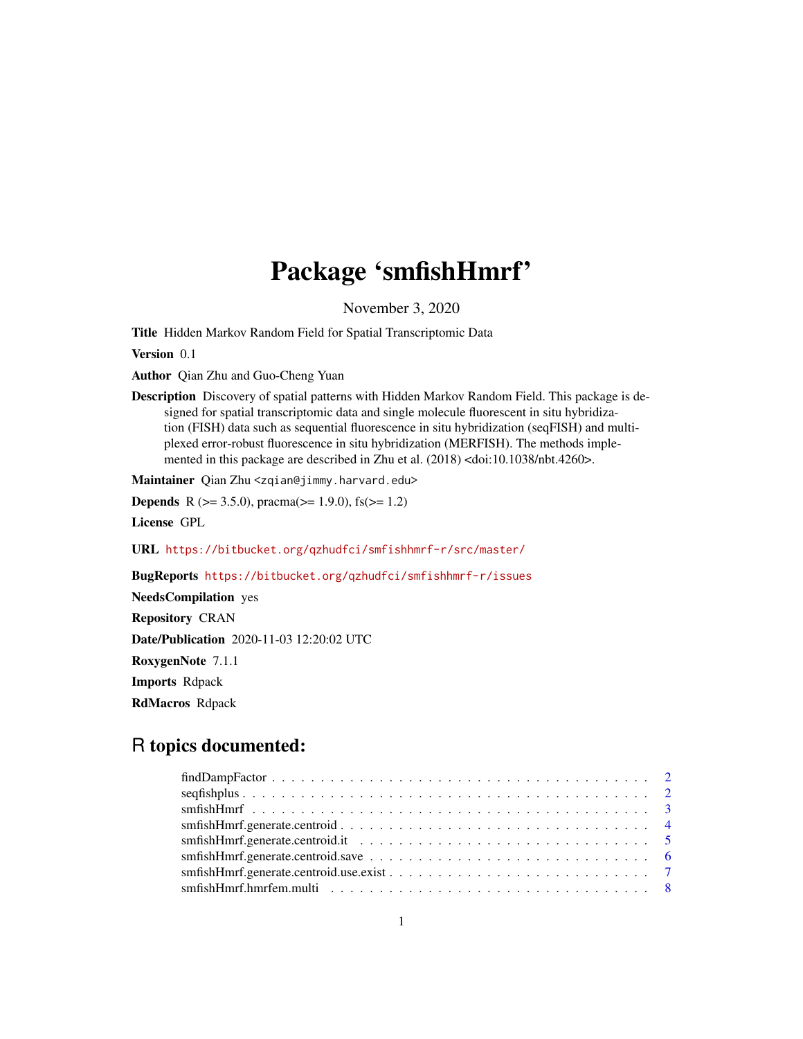# Package 'smfishHmrf'

November 3, 2020

Title Hidden Markov Random Field for Spatial Transcriptomic Data

Version 0.1

Author Qian Zhu and Guo-Cheng Yuan

Description Discovery of spatial patterns with Hidden Markov Random Field. This package is designed for spatial transcriptomic data and single molecule fluorescent in situ hybridization (FISH) data such as sequential fluorescence in situ hybridization (seqFISH) and multiplexed error-robust fluorescence in situ hybridization (MERFISH). The methods implemented in this package are described in Zhu et al. (2018) <doi:10.1038/nbt.4260>.

Maintainer Qian Zhu <zqian@jimmy.harvard.edu>

**Depends** R ( $>= 3.5.0$ ), pracma( $>= 1.9.0$ ), fs( $>= 1.2$ )

License GPL

URL <https://bitbucket.org/qzhudfci/smfishhmrf-r/src/master/>

BugReports <https://bitbucket.org/qzhudfci/smfishhmrf-r/issues>

NeedsCompilation yes Repository CRAN Date/Publication 2020-11-03 12:20:02 UTC RoxygenNote 7.1.1 Imports Rdpack RdMacros Rdpack

# R topics documented: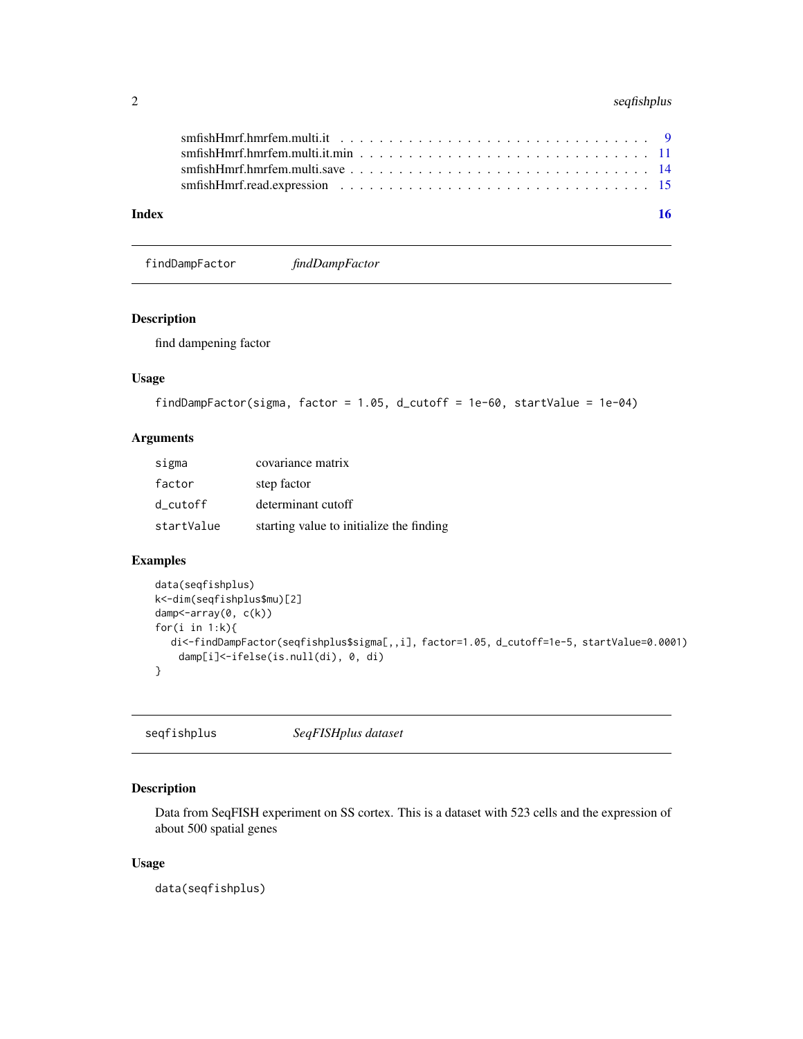# <span id="page-1-0"></span>2 seqfishplus

| Index | 16 |
|-------|----|
|       |    |
|       |    |
|       |    |
|       |    |
|       |    |

findDampFactor *findDampFactor*

# Description

find dampening factor

# Usage

```
findDampFactor(sigma, factor = 1.05, d_cutoff = 1e-60, startValue = 1e-04)
```
# Arguments

| sigma      | covariance matrix                        |
|------------|------------------------------------------|
| factor     | step factor                              |
| d cutoff   | determinant cutoff                       |
| startValue | starting value to initialize the finding |

# Examples

```
data(seqfishplus)
k<-dim(seqfishplus$mu)[2]
damp<-array(0, c(k))
for(i in 1:k){
  di<-findDampFactor(seqfishplus$sigma[,,i], factor=1.05, d_cutoff=1e-5, startValue=0.0001)
    damp[i]<-ifelse(is.null(di), 0, di)
}
```
seqfishplus *SeqFISHplus dataset*

# Description

Data from SeqFISH experiment on SS cortex. This is a dataset with 523 cells and the expression of about 500 spatial genes

# Usage

data(seqfishplus)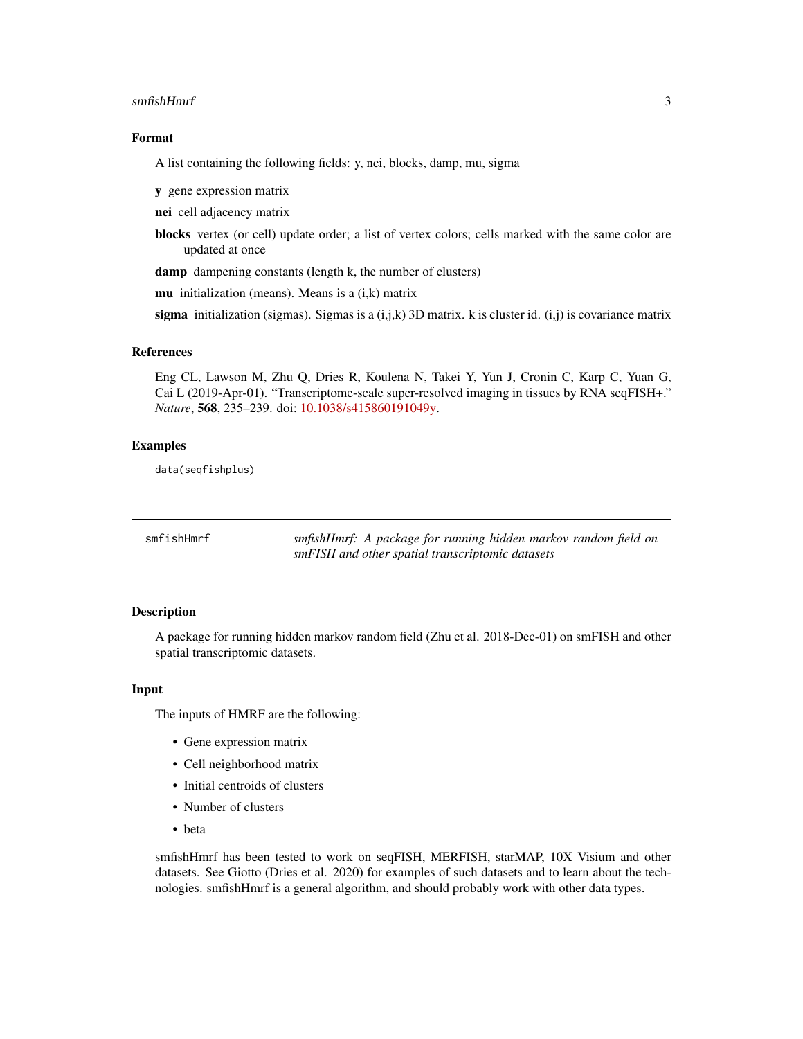#### <span id="page-2-0"></span>smfishHmrf 3

#### Format

A list containing the following fields: y, nei, blocks, damp, mu, sigma

y gene expression matrix

nei cell adjacency matrix

blocks vertex (or cell) update order; a list of vertex colors; cells marked with the same color are updated at once

damp dampening constants (length k, the number of clusters)

mu initialization (means). Means is a  $(i, k)$  matrix

sigma initialization (sigmas). Sigmas is a  $(i,j,k)$  3D matrix. k is cluster id.  $(i,j)$  is covariance matrix

#### References

Eng CL, Lawson M, Zhu Q, Dries R, Koulena N, Takei Y, Yun J, Cronin C, Karp C, Yuan G, Cai L (2019-Apr-01). "Transcriptome-scale super-resolved imaging in tissues by RNA seqFISH+." *Nature*, 568, 235–239. doi: [10.1038/s415860191049y.](https://doi.org/10.1038/s41586-019-1049-y)

#### Examples

data(seqfishplus)

| smfishHmrf | smfishHmrf: A package for running hidden markov random field on |
|------------|-----------------------------------------------------------------|
|            | smFISH and other spatial transcriptomic datasets                |

#### Description

A package for running hidden markov random field (Zhu et al. 2018-Dec-01) on smFISH and other spatial transcriptomic datasets.

#### Input

The inputs of HMRF are the following:

- Gene expression matrix
- Cell neighborhood matrix
- Initial centroids of clusters
- Number of clusters
- beta

smfishHmrf has been tested to work on seqFISH, MERFISH, starMAP, 10X Visium and other datasets. See Giotto (Dries et al. 2020) for examples of such datasets and to learn about the technologies. smfishHmrf is a general algorithm, and should probably work with other data types.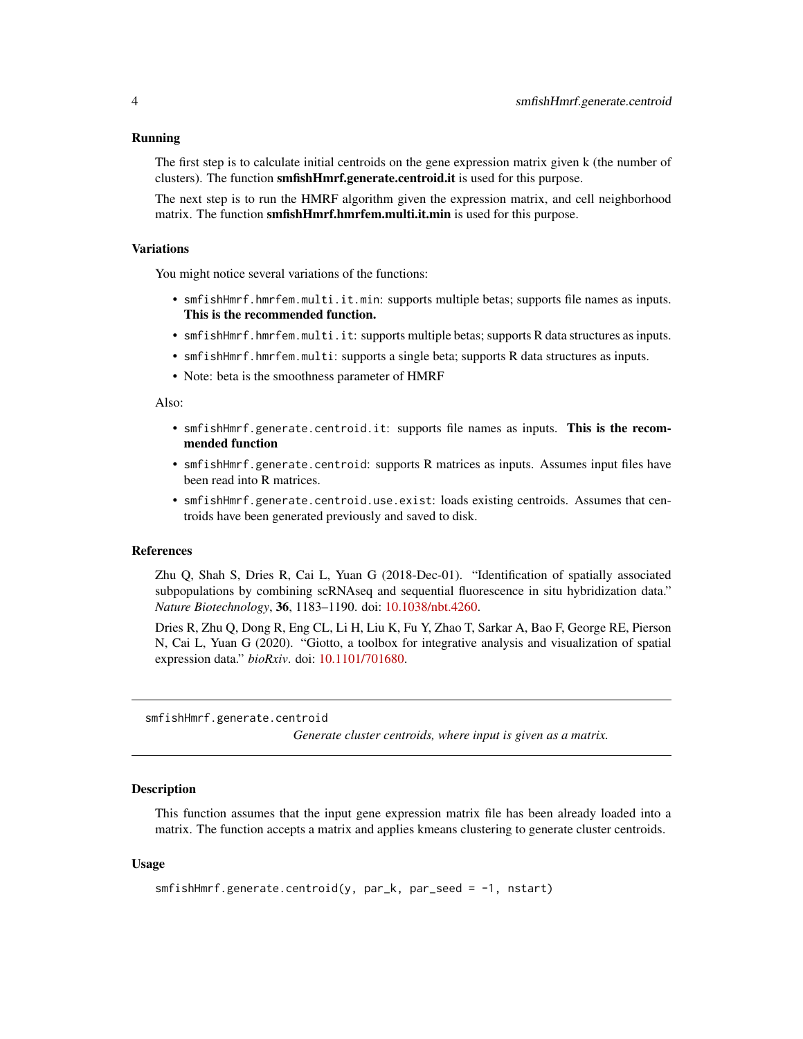#### <span id="page-3-0"></span>Running

The first step is to calculate initial centroids on the gene expression matrix given k (the number of clusters). The function smfishHmrf.generate.centroid.it is used for this purpose.

The next step is to run the HMRF algorithm given the expression matrix, and cell neighborhood matrix. The function **smfishHmrf.hmrfem.multi.it.min** is used for this purpose.

#### **Variations**

You might notice several variations of the functions:

- smfishHmrf.hmrfem.multi.it.min: supports multiple betas; supports file names as inputs. This is the recommended function.
- smfishHmrf.hmrfem.multi.it: supports multiple betas; supports R data structures as inputs.
- smfishHmrf.hmrfem.multi: supports a single beta; supports R data structures as inputs.
- Note: beta is the smoothness parameter of HMRF

#### Also:

- smfishHmrf.generate.centroid.it: supports file names as inputs. This is the recommended function
- smfishHmrf.generate.centroid: supports R matrices as inputs. Assumes input files have been read into R matrices.
- smfishHmrf.generate.centroid.use.exist: loads existing centroids. Assumes that centroids have been generated previously and saved to disk.

#### References

Zhu Q, Shah S, Dries R, Cai L, Yuan G (2018-Dec-01). "Identification of spatially associated subpopulations by combining scRNAseq and sequential fluorescence in situ hybridization data." *Nature Biotechnology*, 36, 1183–1190. doi: [10.1038/nbt.4260.](https://doi.org/10.1038/nbt.4260)

Dries R, Zhu Q, Dong R, Eng CL, Li H, Liu K, Fu Y, Zhao T, Sarkar A, Bao F, George RE, Pierson N, Cai L, Yuan G (2020). "Giotto, a toolbox for integrative analysis and visualization of spatial expression data." *bioRxiv*. doi: [10.1101/701680.](https://doi.org/10.1101/701680)

smfishHmrf.generate.centroid

*Generate cluster centroids, where input is given as a matrix.*

#### **Description**

This function assumes that the input gene expression matrix file has been already loaded into a matrix. The function accepts a matrix and applies kmeans clustering to generate cluster centroids.

#### Usage

```
smfishHmrf.generate.centroid(y, par_k, par_seed = -1, nstart)
```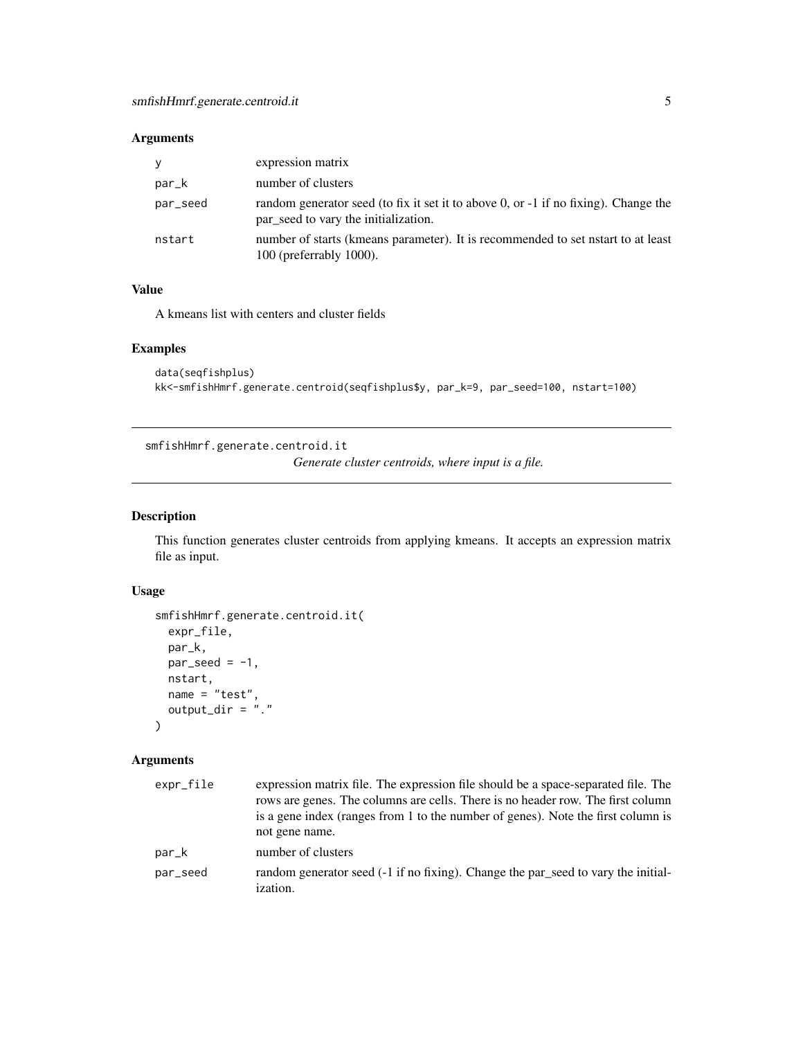# <span id="page-4-0"></span>Arguments

| y        | expression matrix                                                                                                           |
|----------|-----------------------------------------------------------------------------------------------------------------------------|
| par_k    | number of clusters                                                                                                          |
| par_seed | random generator seed (to fix it set it to above 0, or -1 if no fixing). Change the<br>par seed to vary the initialization. |
| nstart   | number of starts (kmeans parameter). It is recommended to set nstart to at least<br>$100$ (preferrably $1000$ ).            |

# Value

A kmeans list with centers and cluster fields

#### Examples

```
data(seqfishplus)
kk<-smfishHmrf.generate.centroid(seqfishplus$y, par_k=9, par_seed=100, nstart=100)
```
smfishHmrf.generate.centroid.it

*Generate cluster centroids, where input is a file.*

# Description

This function generates cluster centroids from applying kmeans. It accepts an expression matrix file as input.

# Usage

```
smfishHmrf.generate.centroid.it(
 expr_file,
 par_k,
 par\_seed = -1,
 nstart,
 name = "test",
  output\_dir = ".")
```

| expr_file | expression matrix file. The expression file should be a space-separated file. The<br>rows are genes. The columns are cells. There is no header row. The first column<br>is a gene index (ranges from 1 to the number of genes). Note the first column is<br>not gene name. |
|-----------|----------------------------------------------------------------------------------------------------------------------------------------------------------------------------------------------------------------------------------------------------------------------------|
| par_k     | number of clusters                                                                                                                                                                                                                                                         |
| par_seed  | random generator seed (-1 if no fixing). Change the par_seed to vary the initial-<br><i>ization.</i>                                                                                                                                                                       |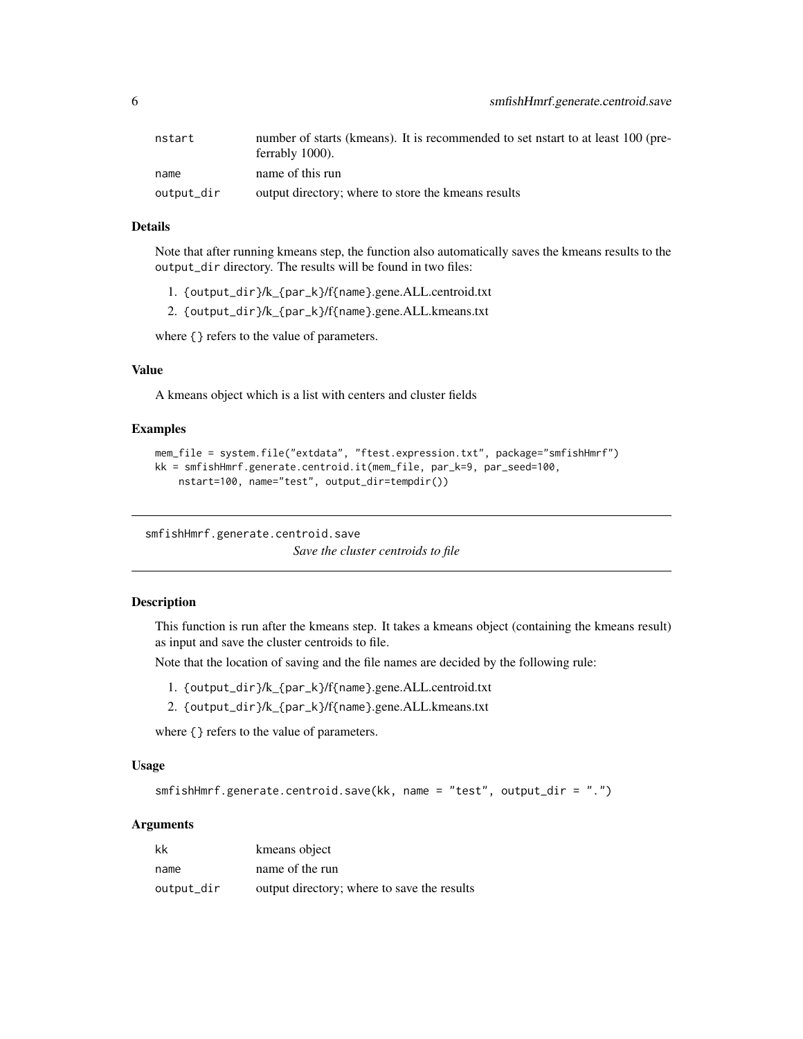<span id="page-5-0"></span>

| nstart     | number of starts (kmeans). It is recommended to set nstart to at least 100 (pre-<br>ferrably 1000). |
|------------|-----------------------------------------------------------------------------------------------------|
| name       | name of this run                                                                                    |
| output_dir | output directory; where to store the kmeans results                                                 |

# Details

Note that after running kmeans step, the function also automatically saves the kmeans results to the output\_dir directory. The results will be found in two files:

- 1. {output\_dir}/k\_{par\_k}/f{name}.gene.ALL.centroid.txt
- 2. {output\_dir}/k\_{par\_k}/f{name}.gene.ALL.kmeans.txt

where { } refers to the value of parameters.

#### Value

A kmeans object which is a list with centers and cluster fields

#### Examples

```
mem_file = system.file("extdata", "ftest.expression.txt", package="smfishHmrf")
kk = smfishHmrf.generate.centroid.it(mem_file, par_k=9, par_seed=100,
   nstart=100, name="test", output_dir=tempdir())
```
smfishHmrf.generate.centroid.save

```
Save the cluster centroids to file
```
#### **Description**

This function is run after the kmeans step. It takes a kmeans object (containing the kmeans result) as input and save the cluster centroids to file.

Note that the location of saving and the file names are decided by the following rule:

- 1. {output\_dir}/k\_{par\_k}/f{name}.gene.ALL.centroid.txt
- 2. {output\_dir}/k\_{par\_k}/f{name}.gene.ALL.kmeans.txt

where { } refers to the value of parameters.

#### Usage

smfishHmrf.generate.centroid.save(kk, name = "test", output\_dir = ".")

| kk         | kmeans object                               |
|------------|---------------------------------------------|
| name       | name of the run                             |
| output_dir | output directory; where to save the results |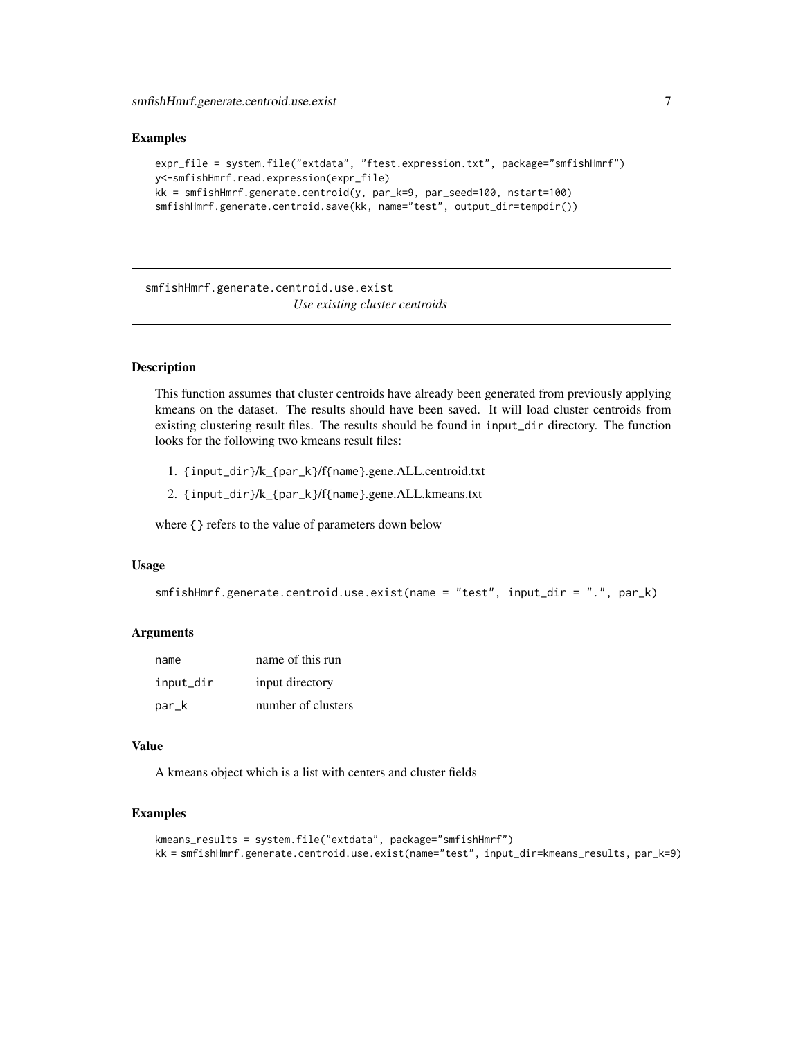<span id="page-6-0"></span>smfishHmrf.generate.centroid.use.exist 7

#### Examples

```
expr_file = system.file("extdata", "ftest.expression.txt", package="smfishHmrf")
y<-smfishHmrf.read.expression(expr_file)
kk = smfishHmrf.generate.centroid(y, par_k=9, par_seed=100, nstart=100)
smfishHmrf.generate.centroid.save(kk, name="test", output_dir=tempdir())
```
smfishHmrf.generate.centroid.use.exist *Use existing cluster centroids*

# Description

This function assumes that cluster centroids have already been generated from previously applying kmeans on the dataset. The results should have been saved. It will load cluster centroids from existing clustering result files. The results should be found in input\_dir directory. The function looks for the following two kmeans result files:

- 1. {input\_dir}/k\_{par\_k}/f{name}.gene.ALL.centroid.txt
- 2. {input\_dir}/k\_{par\_k}/f{name}.gene.ALL.kmeans.txt

where {} refers to the value of parameters down below

#### Usage

```
smfishHmrf.generate.centroid.use.exist(name = "test", input_dir = ".", par_k)
```
#### Arguments

| name      | name of this run   |
|-----------|--------------------|
| input_dir | input directory    |
| par_k     | number of clusters |

#### Value

A kmeans object which is a list with centers and cluster fields

#### Examples

```
kmeans_results = system.file("extdata", package="smfishHmrf")
kk = smfishHmrf.generate.centroid.use.exist(name="test", input_dir=kmeans_results, par_k=9)
```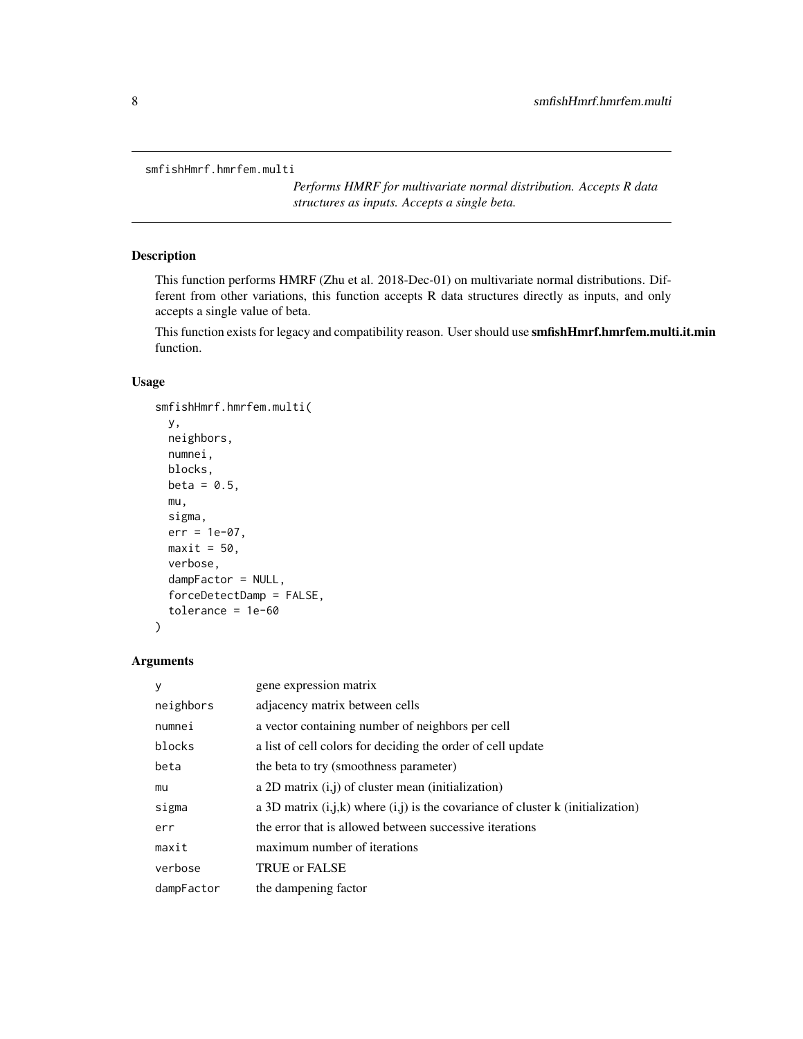```
smfishHmrf.hmrfem.multi
```
*Performs HMRF for multivariate normal distribution. Accepts R data structures as inputs. Accepts a single beta.*

#### Description

This function performs HMRF (Zhu et al. 2018-Dec-01) on multivariate normal distributions. Different from other variations, this function accepts R data structures directly as inputs, and only accepts a single value of beta.

This function exists for legacy and compatibility reason. User should use smfishHmrf.hmrfem.multi.it.min function.

# Usage

```
smfishHmrf.hmrfem.multi(
 y,
 neighbors,
 numnei,
 blocks,
 beta = 0.5,
 mu,
  sigma,
  err = 1e-07,
 maxit = 50,
 verbose,
  dampFactor = NULL,
  forceDetectDamp = FALSE,
  tolerance = 1e-60)
```

| V          | gene expression matrix                                                              |
|------------|-------------------------------------------------------------------------------------|
| neighbors  | adjacency matrix between cells                                                      |
| numnei     | a vector containing number of neighbors per cell                                    |
| blocks     | a list of cell colors for deciding the order of cell update                         |
| beta       | the beta to try (smoothness parameter)                                              |
| mu         | a 2D matrix $(i, j)$ of cluster mean (initialization)                               |
| sigma      | a 3D matrix $(i,j,k)$ where $(i,j)$ is the covariance of cluster k (initialization) |
| err        | the error that is allowed between successive iterations                             |
| maxit      | maximum number of iterations                                                        |
| verbose    | TRUE or FALSE                                                                       |
| dampFactor | the dampening factor                                                                |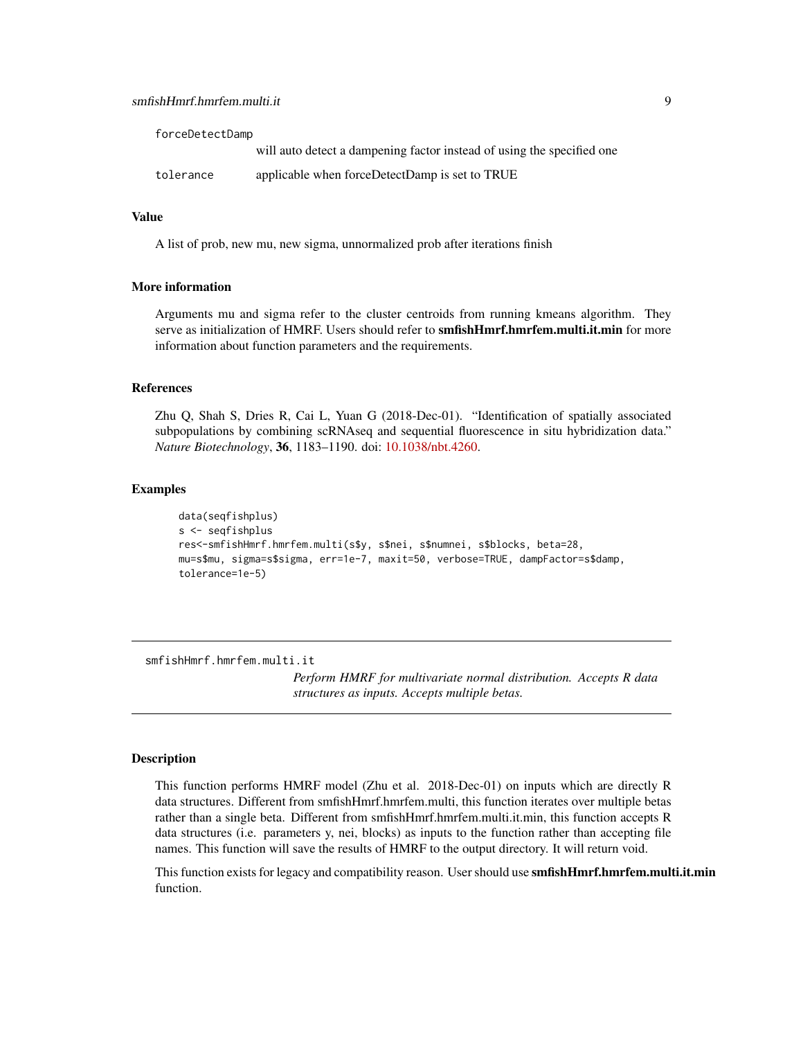<span id="page-8-0"></span>

| forceDetectDamp |                                                                        |  |
|-----------------|------------------------------------------------------------------------|--|
|                 | will auto detect a dampening factor instead of using the specified one |  |
| tolerance       | applicable when forceDetectDamp is set to TRUE                         |  |

#### Value

A list of prob, new mu, new sigma, unnormalized prob after iterations finish

#### More information

Arguments mu and sigma refer to the cluster centroids from running kmeans algorithm. They serve as initialization of HMRF. Users should refer to smfishHmrf.hmrfem.multi.it.min for more information about function parameters and the requirements.

# References

Zhu Q, Shah S, Dries R, Cai L, Yuan G (2018-Dec-01). "Identification of spatially associated subpopulations by combining scRNAseq and sequential fluorescence in situ hybridization data." *Nature Biotechnology*, 36, 1183–1190. doi: [10.1038/nbt.4260.](https://doi.org/10.1038/nbt.4260)

# Examples

```
data(seqfishplus)
s <- seqfishplus
res<-smfishHmrf.hmrfem.multi(s$y, s$nei, s$numnei, s$blocks, beta=28,
mu=s$mu, sigma=s$sigma, err=1e-7, maxit=50, verbose=TRUE, dampFactor=s$damp,
tolerance=1e-5)
```
smfishHmrf.hmrfem.multi.it

*Perform HMRF for multivariate normal distribution. Accepts R data structures as inputs. Accepts multiple betas.*

#### Description

This function performs HMRF model (Zhu et al. 2018-Dec-01) on inputs which are directly R data structures. Different from smfishHmrf.hmrfem.multi, this function iterates over multiple betas rather than a single beta. Different from smfishHmrf.hmrfem.multi.it.min, this function accepts R data structures (i.e. parameters y, nei, blocks) as inputs to the function rather than accepting file names. This function will save the results of HMRF to the output directory. It will return void.

This function exists for legacy and compatibility reason. User should use **smfishHmrf.hmrfem.multi.it.min** function.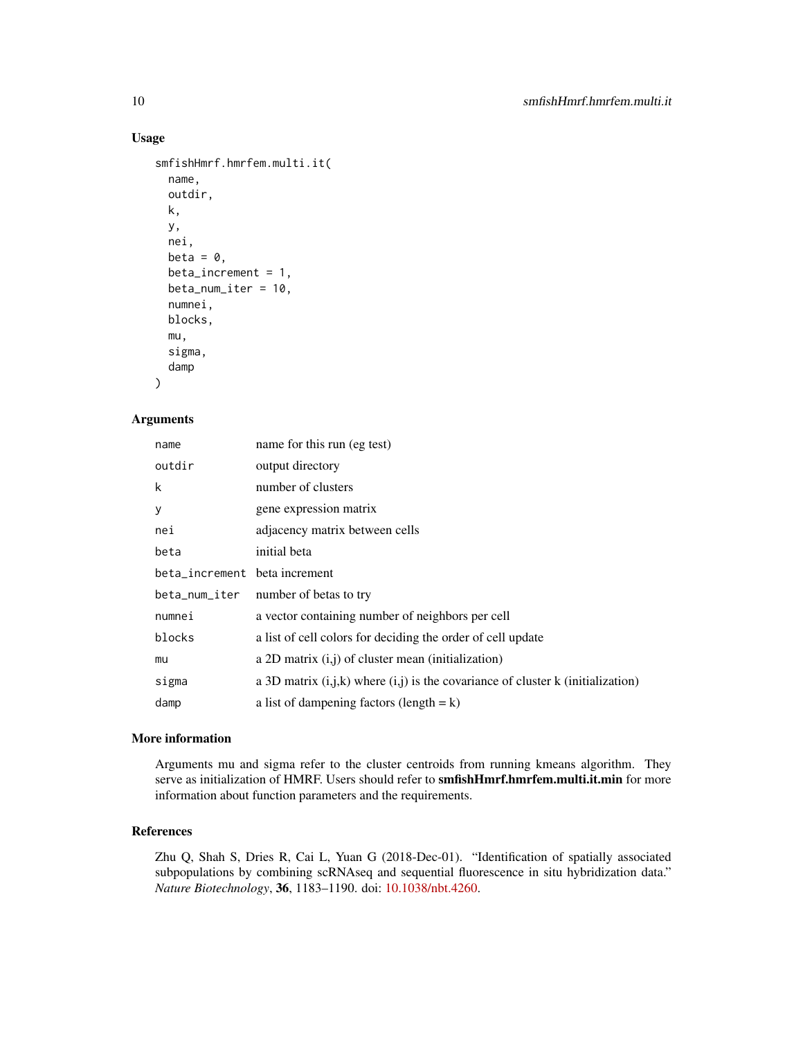# Usage

```
smfishHmrf.hmrfem.multi.it(
  name,
 outdir,
 k,
 y,
  nei,
 beta = \theta,
 beta_increment = 1,
 beta_num_iter = 10,
  numnei,
 blocks,
 mu,
  sigma,
  damp
```
# Arguments

)

| name                         | name for this run (eg test)                                                         |
|------------------------------|-------------------------------------------------------------------------------------|
| outdir                       | output directory                                                                    |
| k                            | number of clusters                                                                  |
| У                            | gene expression matrix                                                              |
| nei                          | adjacency matrix between cells                                                      |
| beta                         | initial beta                                                                        |
| beta_increment betaincrement |                                                                                     |
|                              | beta_num_iter number of betas to try                                                |
| numnei                       | a vector containing number of neighbors per cell                                    |
| blocks                       | a list of cell colors for deciding the order of cell update                         |
| mu                           | a 2D matrix $(i, j)$ of cluster mean (initialization)                               |
| sigma                        | a 3D matrix $(i,j,k)$ where $(i,j)$ is the covariance of cluster k (initialization) |
| damp                         | a list of dampening factors (length $= k$ )                                         |

#### More information

Arguments mu and sigma refer to the cluster centroids from running kmeans algorithm. They serve as initialization of HMRF. Users should refer to smfishHmrf.hmrfem.multi.it.min for more information about function parameters and the requirements.

## References

Zhu Q, Shah S, Dries R, Cai L, Yuan G (2018-Dec-01). "Identification of spatially associated subpopulations by combining scRNAseq and sequential fluorescence in situ hybridization data." *Nature Biotechnology*, 36, 1183–1190. doi: [10.1038/nbt.4260.](https://doi.org/10.1038/nbt.4260)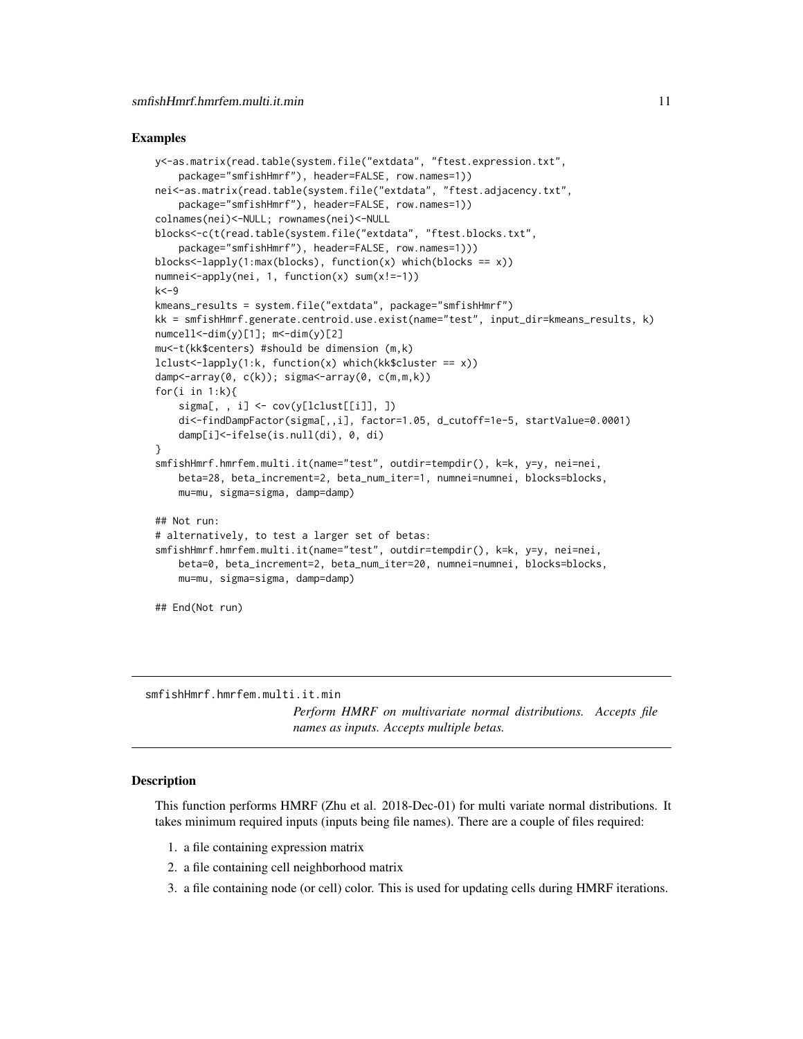#### <span id="page-10-0"></span>Examples

```
y<-as.matrix(read.table(system.file("extdata", "ftest.expression.txt",
    package="smfishHmrf"), header=FALSE, row.names=1))
nei<-as.matrix(read.table(system.file("extdata", "ftest.adjacency.txt",
    package="smfishHmrf"), header=FALSE, row.names=1))
colnames(nei)<-NULL; rownames(nei)<-NULL
blocks<-c(t(read.table(system.file("extdata", "ftest.blocks.txt",
    package="smfishHmrf"), header=FALSE, row.names=1)))
blocks<-lapply(1:max(blocks), function(x) which(blocks == x))
numnei<-apply(nei, 1, function(x) sum(x!=-1))
k<-9
kmeans_results = system.file("extdata", package="smfishHmrf")
kk = smfishHmrf.generate.centroid.use.exist(name="test", input_dir=kmeans_results, k)
numcell < -dim(y)[1]; m < -dim(y)[2]mu<-t(kk$centers) #should be dimension (m,k)
lclust<-lapply(1:k, function(x) which(kk$cluster == x))
damp<-array(0, c(k)); sigma<-array(0, c(m,m,k))
for(i in 1:k){
    signa[, , i] < -cov(y[lelust[[i]], ])di<-findDampFactor(sigma[,,i], factor=1.05, d_cutoff=1e-5, startValue=0.0001)
    damp[i]<-ifelse(is.null(di), 0, di)
}
smfishHmrf.hmrfem.multi.it(name="test", outdir=tempdir(), k=k, y=y, nei=nei,
    beta=28, beta_increment=2, beta_num_iter=1, numnei=numnei, blocks=blocks,
    mu=mu, sigma=sigma, damp=damp)
## Not run:
# alternatively, to test a larger set of betas:
smfishHmrf.hmrfem.multi.it(name="test", outdir=tempdir(), k=k, y=y, nei=nei,
    beta=0, beta_increment=2, beta_num_iter=20, numnei=numnei, blocks=blocks,
    mu=mu, sigma=sigma, damp=damp)
## End(Not run)
```
smfishHmrf.hmrfem.multi.it.min

*Perform HMRF on multivariate normal distributions. Accepts file names as inputs. Accepts multiple betas.*

### Description

This function performs HMRF (Zhu et al. 2018-Dec-01) for multi variate normal distributions. It takes minimum required inputs (inputs being file names). There are a couple of files required:

- 1. a file containing expression matrix
- 2. a file containing cell neighborhood matrix
- 3. a file containing node (or cell) color. This is used for updating cells during HMRF iterations.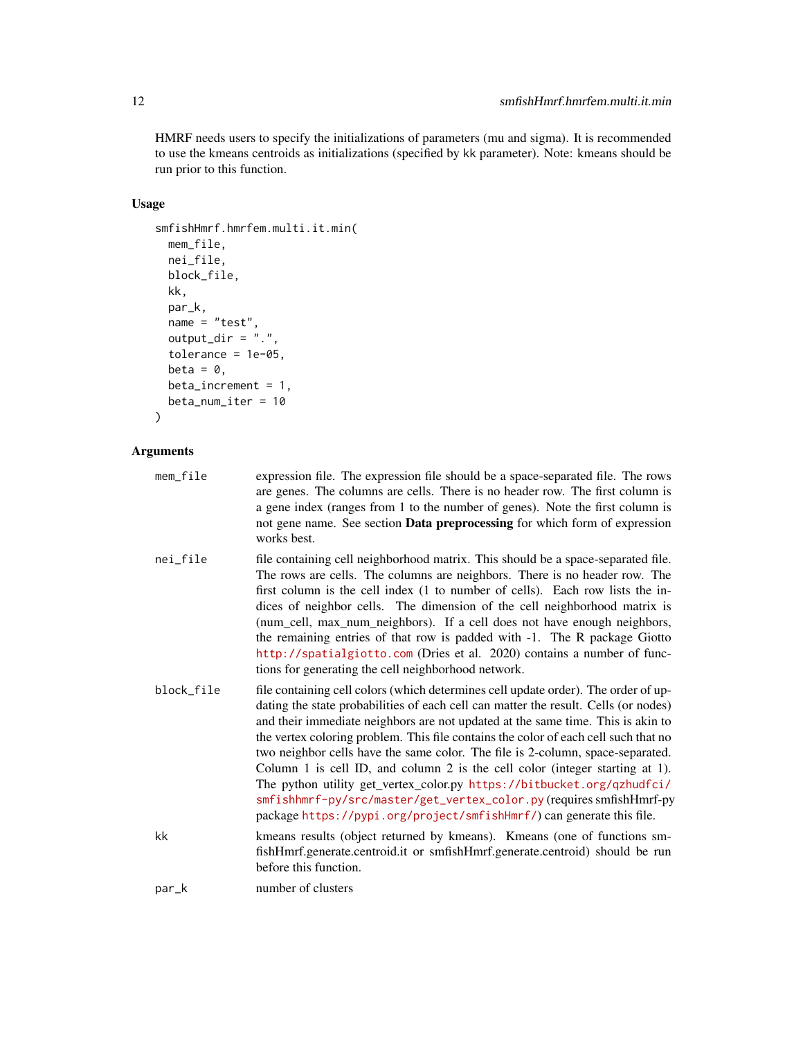HMRF needs users to specify the initializations of parameters (mu and sigma). It is recommended to use the kmeans centroids as initializations (specified by kk parameter). Note: kmeans should be run prior to this function.

# Usage

```
smfishHmrf.hmrfem.multi.it.min(
  mem_file,
  nei_file,
  block_file,
  kk,
  par_k,
  name = "test",
  output_dir = \overline{''}.",
  tolerance = 1e-05,
  beta = \theta,
  beta_increment = 1,
  beta_num_iter = 10
```

```
)
```

| mem_file   | expression file. The expression file should be a space-separated file. The rows<br>are genes. The columns are cells. There is no header row. The first column is<br>a gene index (ranges from 1 to the number of genes). Note the first column is<br>not gene name. See section <b>Data preprocessing</b> for which form of expression<br>works best.                                                                                                                                                                                                                                                                                                                                                                                            |
|------------|--------------------------------------------------------------------------------------------------------------------------------------------------------------------------------------------------------------------------------------------------------------------------------------------------------------------------------------------------------------------------------------------------------------------------------------------------------------------------------------------------------------------------------------------------------------------------------------------------------------------------------------------------------------------------------------------------------------------------------------------------|
| nei_file   | file containing cell neighborhood matrix. This should be a space-separated file.<br>The rows are cells. The columns are neighbors. There is no header row. The<br>first column is the cell index (1 to number of cells). Each row lists the in-<br>dices of neighbor cells. The dimension of the cell neighborhood matrix is<br>(num_cell, max_num_neighbors). If a cell does not have enough neighbors,<br>the remaining entries of that row is padded with -1. The R package Giotto<br>http://spatialgiotto.com (Dries et al. 2020) contains a number of func-<br>tions for generating the cell neighborhood network.                                                                                                                          |
| block file | file containing cell colors (which determines cell update order). The order of up-<br>dating the state probabilities of each cell can matter the result. Cells (or nodes)<br>and their immediate neighbors are not updated at the same time. This is akin to<br>the vertex coloring problem. This file contains the color of each cell such that no<br>two neighbor cells have the same color. The file is 2-column, space-separated.<br>Column 1 is cell ID, and column 2 is the cell color (integer starting at 1).<br>The python utility get_vertex_color.py https://bitbucket.org/qzhudfci/<br>smfishhmrf-py/src/master/get_vertex_color.py (requires smfishHmrf-py<br>package https://pypi.org/project/smfishHmrf/) can generate this file. |
| kk         | kmeans results (object returned by kmeans). Kmeans (one of functions sm-<br>fishHmrf.generate.centroid.it or smfishHmrf.generate.centroid) should be run<br>before this function.                                                                                                                                                                                                                                                                                                                                                                                                                                                                                                                                                                |
| par_k      | number of clusters                                                                                                                                                                                                                                                                                                                                                                                                                                                                                                                                                                                                                                                                                                                               |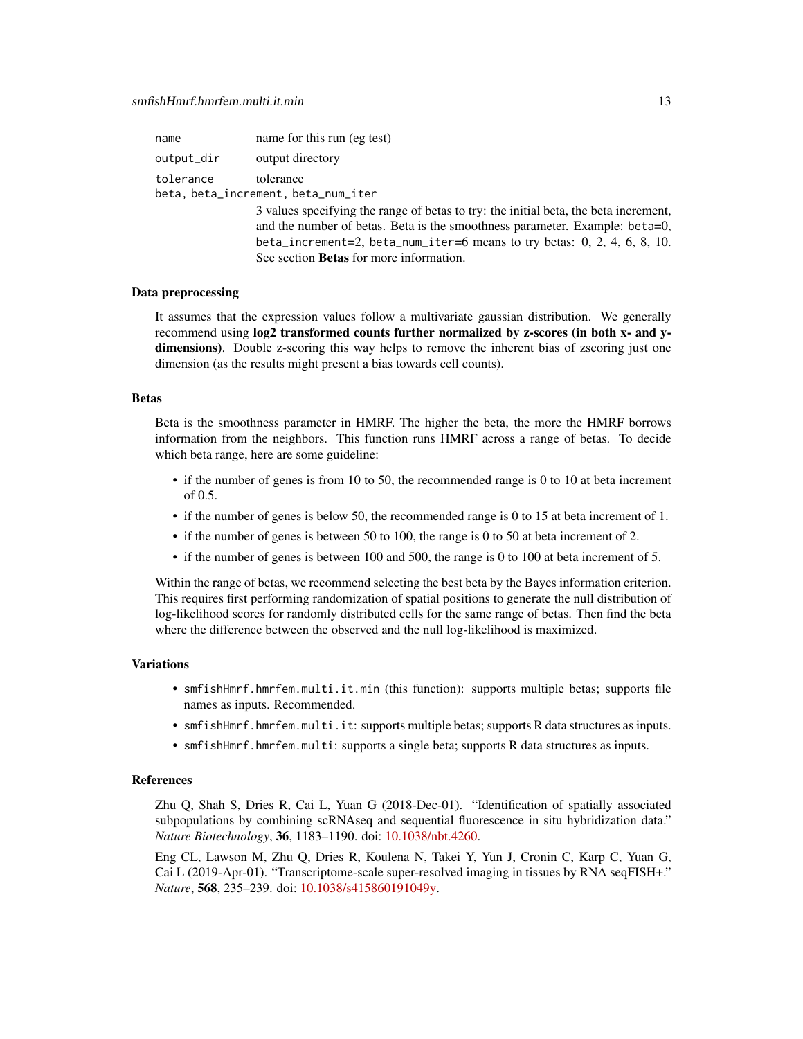| name       | name for this run (eg test)                                                                                                                                                                                                                                                                          |
|------------|------------------------------------------------------------------------------------------------------------------------------------------------------------------------------------------------------------------------------------------------------------------------------------------------------|
| output_dir | output directory                                                                                                                                                                                                                                                                                     |
| tolerance  | tolerance<br>beta, beta_increment, beta_num_iter                                                                                                                                                                                                                                                     |
|            | 3 values specifying the range of betas to try: the initial beta, the beta increment,<br>and the number of betas. Beta is the smoothness parameter. Example: beta=0,<br>beta_increment=2, beta_num_iter=6 means to try betas: $0, 2, 4, 6, 8, 10$ .<br>See section <b>Betas</b> for more information. |

#### Data preprocessing

It assumes that the expression values follow a multivariate gaussian distribution. We generally recommend using log2 transformed counts further normalized by z-scores (in both x- and ydimensions). Double z-scoring this way helps to remove the inherent bias of zscoring just one dimension (as the results might present a bias towards cell counts).

#### Betas

Beta is the smoothness parameter in HMRF. The higher the beta, the more the HMRF borrows information from the neighbors. This function runs HMRF across a range of betas. To decide which beta range, here are some guideline:

- if the number of genes is from 10 to 50, the recommended range is 0 to 10 at beta increment of 0.5.
- if the number of genes is below 50, the recommended range is 0 to 15 at beta increment of 1.
- if the number of genes is between 50 to 100, the range is 0 to 50 at beta increment of 2.
- if the number of genes is between 100 and 500, the range is 0 to 100 at beta increment of 5.

Within the range of betas, we recommend selecting the best beta by the Bayes information criterion. This requires first performing randomization of spatial positions to generate the null distribution of log-likelihood scores for randomly distributed cells for the same range of betas. Then find the beta where the difference between the observed and the null log-likelihood is maximized.

#### Variations

- smfishHmrf.hmrfem.multi.it.min (this function): supports multiple betas; supports file names as inputs. Recommended.
- smfishHmrf.hmrfem.multi.it: supports multiple betas; supports R data structures as inputs.
- smfishHmrf.hmrfem.multi: supports a single beta; supports R data structures as inputs.

#### References

Zhu Q, Shah S, Dries R, Cai L, Yuan G (2018-Dec-01). "Identification of spatially associated subpopulations by combining scRNAseq and sequential fluorescence in situ hybridization data." *Nature Biotechnology*, 36, 1183–1190. doi: [10.1038/nbt.4260.](https://doi.org/10.1038/nbt.4260)

Eng CL, Lawson M, Zhu Q, Dries R, Koulena N, Takei Y, Yun J, Cronin C, Karp C, Yuan G, Cai L (2019-Apr-01). "Transcriptome-scale super-resolved imaging in tissues by RNA seqFISH+." *Nature*, 568, 235–239. doi: [10.1038/s415860191049y.](https://doi.org/10.1038/s41586-019-1049-y)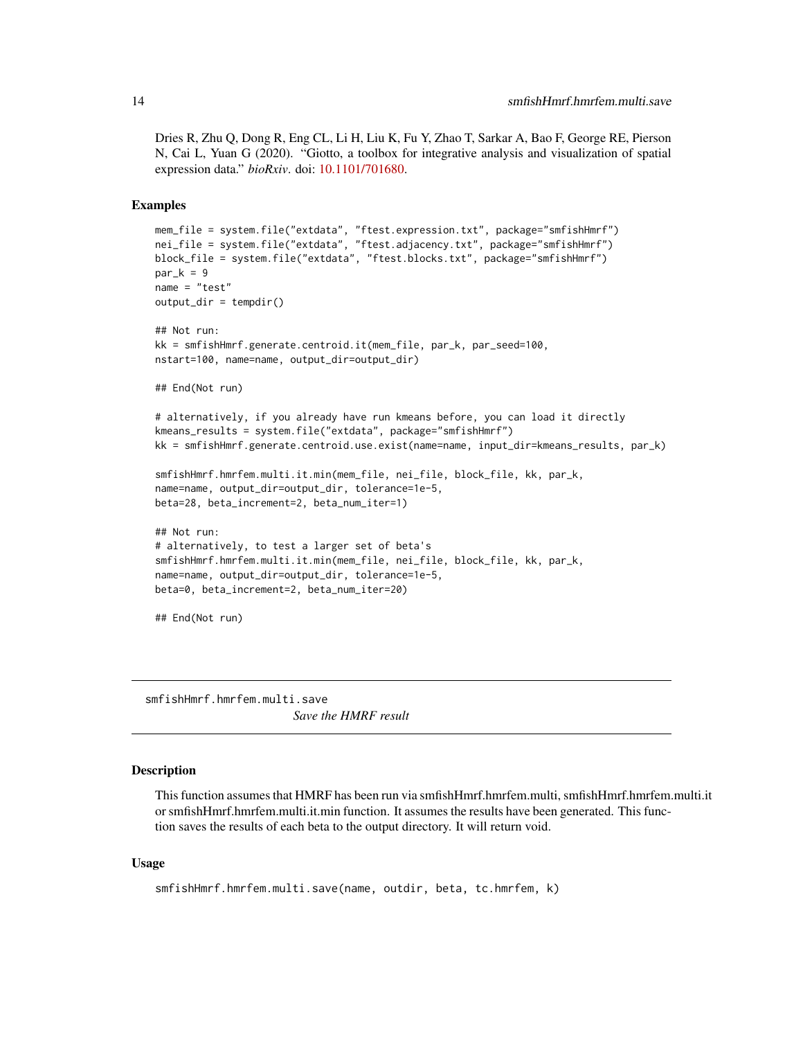<span id="page-13-0"></span>Dries R, Zhu Q, Dong R, Eng CL, Li H, Liu K, Fu Y, Zhao T, Sarkar A, Bao F, George RE, Pierson N, Cai L, Yuan G (2020). "Giotto, a toolbox for integrative analysis and visualization of spatial expression data." *bioRxiv*. doi: [10.1101/701680.](https://doi.org/10.1101/701680)

#### Examples

```
mem_file = system.file("extdata", "ftest.expression.txt", package="smfishHmrf")
nei_file = system.file("extdata", "ftest.adjacency.txt", package="smfishHmrf")
block_file = system.file("extdata", "ftest.blocks.txt", package="smfishHmrf")
par_k = 9name = "test"
output_dir = tempdir()
## Not run:
kk = smfishHmrf.generate.centroid.it(mem_file, par_k, par_seed=100,
nstart=100, name=name, output_dir=output_dir)
## End(Not run)
# alternatively, if you already have run kmeans before, you can load it directly
kmeans_results = system.file("extdata", package="smfishHmrf")
kk = smfishHmrf.generate.centroid.use.exist(name=name, input_dir=kmeans_results, par_k)
smfishHmrf.hmrfem.multi.it.min(mem_file, nei_file, block_file, kk, par_k,
name=name, output_dir=output_dir, tolerance=1e-5,
beta=28, beta_increment=2, beta_num_iter=1)
## Not run:
# alternatively, to test a larger set of beta's
smfishHmrf.hmrfem.multi.it.min(mem_file, nei_file, block_file, kk, par_k,
name=name, output_dir=output_dir, tolerance=1e-5,
beta=0, beta_increment=2, beta_num_iter=20)
## End(Not run)
```
smfishHmrf.hmrfem.multi.save *Save the HMRF result*

# Description

This function assumes that HMRF has been run via smfishHmrf.hmrfem.multi, smfishHmrf.hmrfem.multi.it or smfishHmrf.hmrfem.multi.it.min function. It assumes the results have been generated. This function saves the results of each beta to the output directory. It will return void.

#### Usage

```
smfishHmrf.hmrfem.multi.save(name, outdir, beta, tc.hmrfem, k)
```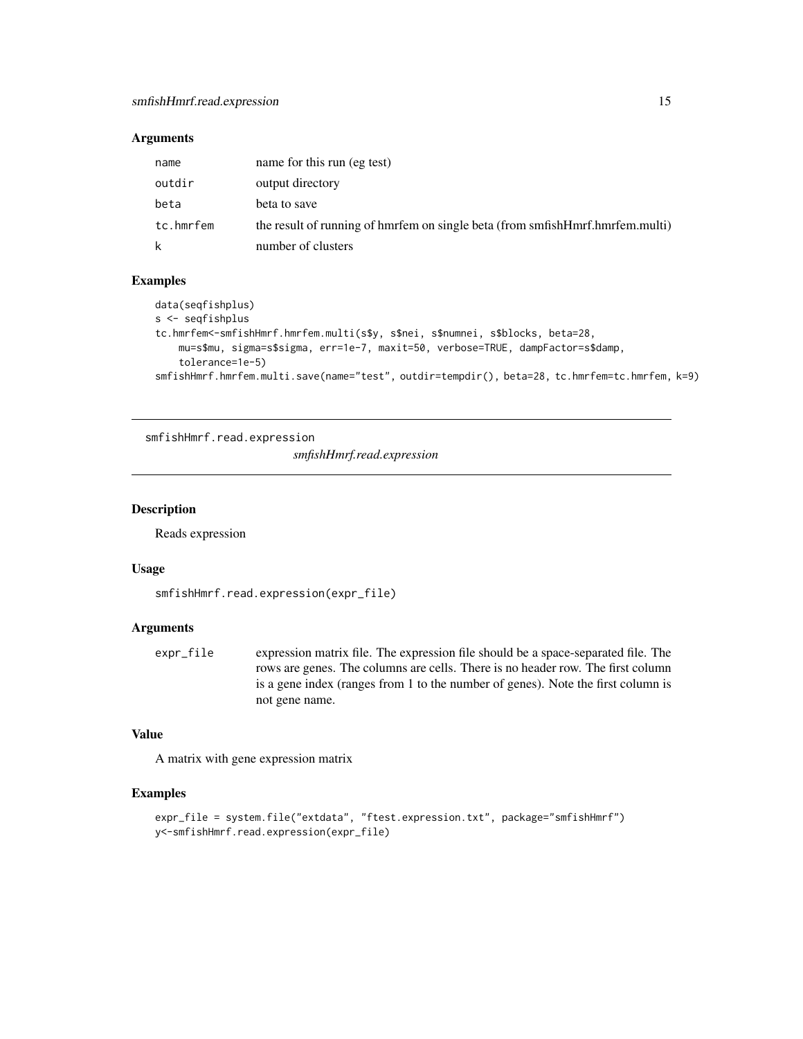# <span id="page-14-0"></span>Arguments

| name      | name for this run (eg test)                                                   |
|-----------|-------------------------------------------------------------------------------|
| outdir    | output directory                                                              |
| beta      | beta to save                                                                  |
| tc.hmrfem | the result of running of hmrfem on single beta (from smfishHmrf.hmrfem.multi) |
| k         | number of clusters                                                            |

# Examples

```
data(seqfishplus)
s <- seqfishplus
tc.hmrfem<-smfishHmrf.hmrfem.multi(s$y, s$nei, s$numnei, s$blocks, beta=28,
   mu=s$mu, sigma=s$sigma, err=1e-7, maxit=50, verbose=TRUE, dampFactor=s$damp,
    tolerance=1e-5)
smfishHmrf.hmrfem.multi.save(name="test", outdir=tempdir(), beta=28, tc.hmrfem=tc.hmrfem, k=9)
```
smfishHmrf.read.expression

*smfishHmrf.read.expression*

#### Description

Reads expression

#### Usage

```
smfishHmrf.read.expression(expr_file)
```
# Arguments

expr\_file expression matrix file. The expression file should be a space-separated file. The rows are genes. The columns are cells. There is no header row. The first column is a gene index (ranges from 1 to the number of genes). Note the first column is not gene name.

# Value

A matrix with gene expression matrix

#### Examples

```
expr_file = system.file("extdata", "ftest.expression.txt", package="smfishHmrf")
y<-smfishHmrf.read.expression(expr_file)
```